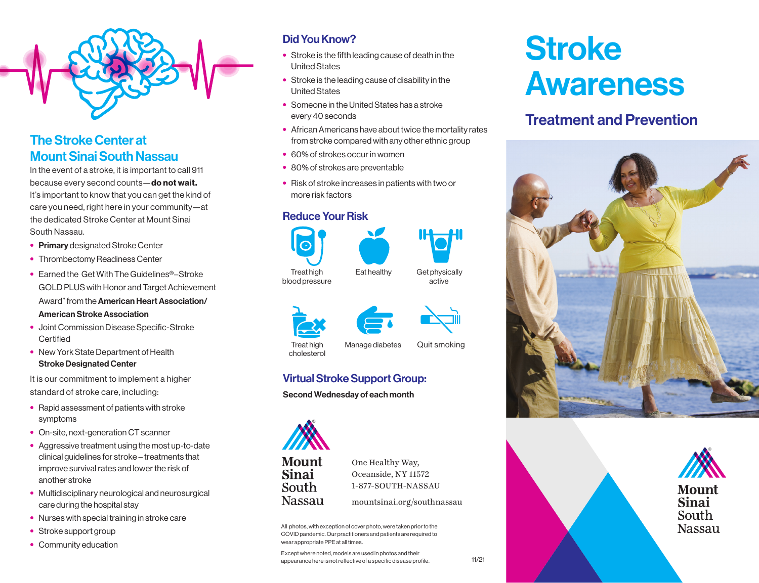

#### The Stroke Center at Mount Sinai South Nassau

In the event of a stroke, it is important to call 911 because every second counts-do not wait. It's important to know that you can get the kind of care you need, right here in your community—at the dedicated Stroke Center at Mount Sinai South Nassau.

- Primary designated Stroke Center
- Thrombectomy Readiness Center
- Earned the Get With The Guidelines®–Stroke GOLD PLUS with Honor and Target Achievement Award" from the American Heart Association/ American Stroke Association
- Joint Commission Disease Specific-Stroke **Certified**
- New York State Department of Health Stroke Designated Center

It is our commitment to implement a higher standard of stroke care, including:

- Rapid assessment of patients with stroke symptoms
- On-site, next-generation CT scanner
- Aggressive treatment using the most up-to-date clinical guidelines for stroke – treatments that improve survival rates and lower the risk of another stroke
- Multidisciplinary neurological and neurosurgical care during the hospital stay
- Nurses with special training in stroke care
- Stroke support group
- Community education

#### Did You Know?

- Stroke is the fifth leading cause of death in the United States
- Stroke is the leading cause of disability in the United States
- Someone in the United States has a stroke every 40 seconds
- African Americans have about twice the mortality rates from stroke compared with any other ethnic group
- 60% of strokes occur in women
- 80% of strokes are preventable
- Risk of stroke increases in patients with two or more risk factors

#### Reduce Your Risk





blood pressure

active







Treat high cholesterol

Manage diabetes Quit smoking

#### Virtual Stroke Support Group:

Second Wednesday of each month



One Healthy Way, Oceanside, NY 11572 1-877-SOUTH-NASSAU

mountsinai.org/southnassau

All photos, with exception of cover photo, were taken prior to the COVID pandemic. Our practitioners and patients are required to wear appropriate PPE at all times.

Except where noted, models are used in photos and their appearance here is not reflective of a specific disease profile. 11/21

## **Stroke** Awareness

#### Treatment and Prevention